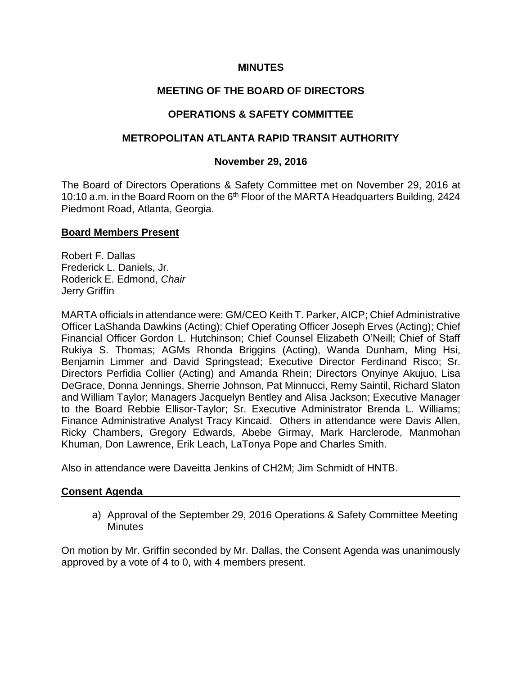## **MINUTES**

# **MEETING OF THE BOARD OF DIRECTORS**

## **OPERATIONS & SAFETY COMMITTEE**

## **METROPOLITAN ATLANTA RAPID TRANSIT AUTHORITY**

## **November 29, 2016**

The Board of Directors Operations & Safety Committee met on November 29, 2016 at 10:10 a.m. in the Board Room on the 6<sup>th</sup> Floor of the MARTA Headquarters Building, 2424 Piedmont Road, Atlanta, Georgia.

## **Board Members Present**

Robert F. Dallas Frederick L. Daniels, Jr. Roderick E. Edmond, *Chair* Jerry Griffin

MARTA officials in attendance were: GM/CEO Keith T. Parker, AICP; Chief Administrative Officer LaShanda Dawkins (Acting); Chief Operating Officer Joseph Erves (Acting); Chief Financial Officer Gordon L. Hutchinson; Chief Counsel Elizabeth O'Neill; Chief of Staff Rukiya S. Thomas; AGMs Rhonda Briggins (Acting), Wanda Dunham, Ming Hsi, Benjamin Limmer and David Springstead; Executive Director Ferdinand Risco; Sr. Directors Perfidia Collier (Acting) and Amanda Rhein; Directors Onyinye Akujuo, Lisa DeGrace, Donna Jennings, Sherrie Johnson, Pat Minnucci, Remy Saintil, Richard Slaton and William Taylor; Managers Jacquelyn Bentley and Alisa Jackson; Executive Manager to the Board Rebbie Ellisor-Taylor; Sr. Executive Administrator Brenda L. Williams; Finance Administrative Analyst Tracy Kincaid. Others in attendance were Davis Allen, Ricky Chambers, Gregory Edwards, Abebe Girmay, Mark Harclerode, Manmohan Khuman, Don Lawrence, Erik Leach, LaTonya Pope and Charles Smith.

Also in attendance were Daveitta Jenkins of CH2M; Jim Schmidt of HNTB.

## **Consent Agenda**

a) Approval of the September 29, 2016 Operations & Safety Committee Meeting **Minutes** 

On motion by Mr. Griffin seconded by Mr. Dallas, the Consent Agenda was unanimously approved by a vote of 4 to 0, with 4 members present.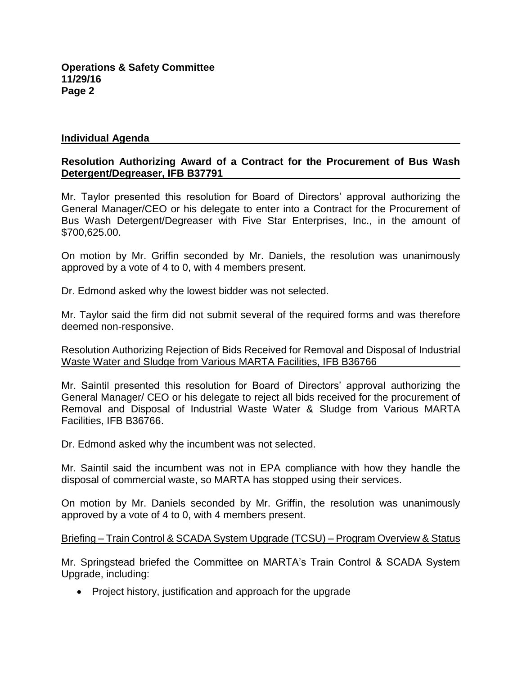#### **Individual Agenda**

#### **Resolution Authorizing Award of a Contract for the Procurement of Bus Wash Detergent/Degreaser, IFB B37791**

Mr. Taylor presented this resolution for Board of Directors' approval authorizing the General Manager/CEO or his delegate to enter into a Contract for the Procurement of Bus Wash Detergent/Degreaser with Five Star Enterprises, Inc., in the amount of \$700,625.00.

On motion by Mr. Griffin seconded by Mr. Daniels, the resolution was unanimously approved by a vote of 4 to 0, with 4 members present.

Dr. Edmond asked why the lowest bidder was not selected.

Mr. Taylor said the firm did not submit several of the required forms and was therefore deemed non-responsive.

Resolution Authorizing Rejection of Bids Received for Removal and Disposal of Industrial Waste Water and Sludge from Various MARTA Facilities, IFB B36766

Mr. Saintil presented this resolution for Board of Directors' approval authorizing the General Manager/ CEO or his delegate to reject all bids received for the procurement of Removal and Disposal of Industrial Waste Water & Sludge from Various MARTA Facilities, IFB B36766.

Dr. Edmond asked why the incumbent was not selected.

Mr. Saintil said the incumbent was not in EPA compliance with how they handle the disposal of commercial waste, so MARTA has stopped using their services.

On motion by Mr. Daniels seconded by Mr. Griffin, the resolution was unanimously approved by a vote of 4 to 0, with 4 members present.

#### Briefing – Train Control & SCADA System Upgrade (TCSU) – Program Overview & Status

Mr. Springstead briefed the Committee on MARTA's Train Control & SCADA System Upgrade, including:

• Project history, justification and approach for the upgrade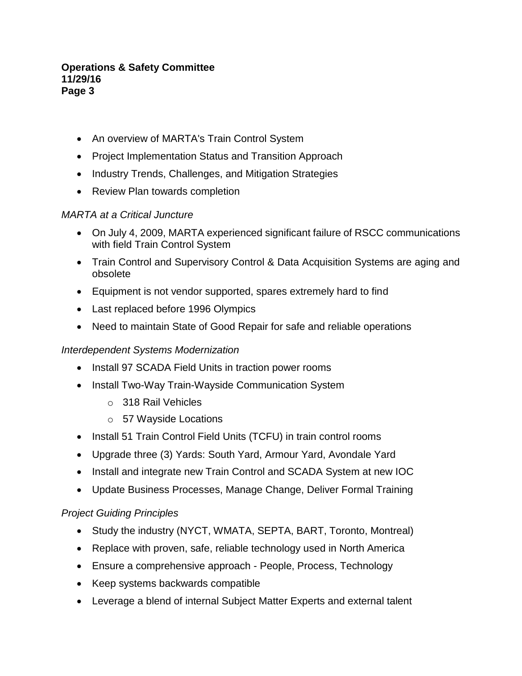- An overview of MARTA's Train Control System
- Project Implementation Status and Transition Approach
- Industry Trends, Challenges, and Mitigation Strategies
- Review Plan towards completion

## *MARTA at a Critical Juncture*

- On July 4, 2009, MARTA experienced significant failure of RSCC communications with field Train Control System
- Train Control and Supervisory Control & Data Acquisition Systems are aging and obsolete
- Equipment is not vendor supported, spares extremely hard to find
- Last replaced before 1996 Olympics
- Need to maintain State of Good Repair for safe and reliable operations

## *Interdependent Systems Modernization*

- Install 97 SCADA Field Units in traction power rooms
- Install Two-Way Train-Wayside Communication System
	- o 318 Rail Vehicles
	- o 57 Wayside Locations
- Install 51 Train Control Field Units (TCFU) in train control rooms
- Upgrade three (3) Yards: South Yard, Armour Yard, Avondale Yard
- Install and integrate new Train Control and SCADA System at new IOC
- Update Business Processes, Manage Change, Deliver Formal Training

## *Project Guiding Principles*

- Study the industry (NYCT, WMATA, SEPTA, BART, Toronto, Montreal)
- Replace with proven, safe, reliable technology used in North America
- Ensure a comprehensive approach People, Process, Technology
- Keep systems backwards compatible
- Leverage a blend of internal Subject Matter Experts and external talent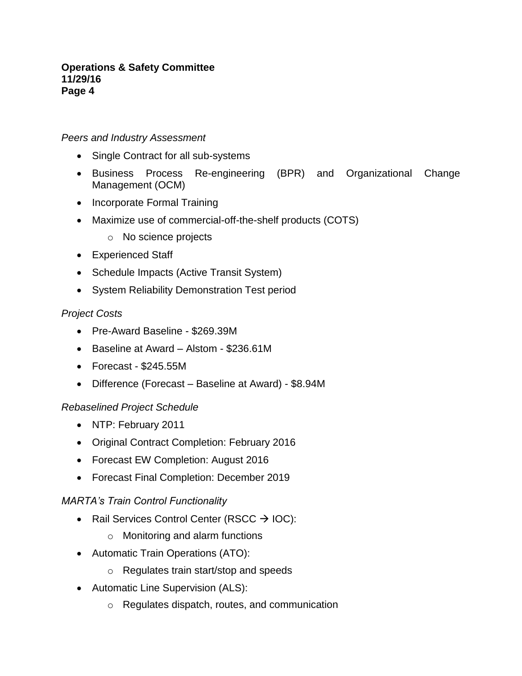## *Peers and Industry Assessment*

- Single Contract for all sub-systems
- Business Process Re-engineering (BPR) and Organizational Change Management (OCM)
- Incorporate Formal Training
- Maximize use of commercial-off-the-shelf products (COTS)
	- o No science projects
- Experienced Staff
- Schedule Impacts (Active Transit System)
- System Reliability Demonstration Test period

## *Project Costs*

- Pre-Award Baseline \$269.39M
- Baseline at Award Alstom \$236.61M
- Forecast \$245.55M
- Difference (Forecast Baseline at Award) \$8.94M

## *Rebaselined Project Schedule*

- NTP: February 2011
- Original Contract Completion: February 2016
- Forecast EW Completion: August 2016
- Forecast Final Completion: December 2019

## *MARTA's Train Control Functionality*

- Rail Services Control Center (RSCC  $\rightarrow$  IOC):
	- o Monitoring and alarm functions
- Automatic Train Operations (ATO):
	- o Regulates train start/stop and speeds
- Automatic Line Supervision (ALS):
	- o Regulates dispatch, routes, and communication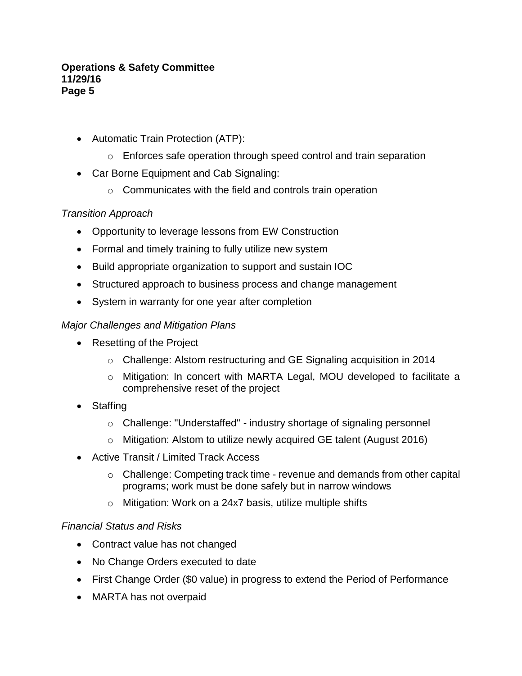- Automatic Train Protection (ATP):
	- o Enforces safe operation through speed control and train separation
- Car Borne Equipment and Cab Signaling:
	- $\circ$  Communicates with the field and controls train operation

# *Transition Approach*

- Opportunity to leverage lessons from EW Construction
- Formal and timely training to fully utilize new system
- Build appropriate organization to support and sustain IOC
- Structured approach to business process and change management
- System in warranty for one year after completion

## *Major Challenges and Mitigation Plans*

- Resetting of the Project
	- o Challenge: Alstom restructuring and GE Signaling acquisition in 2014
	- o Mitigation: In concert with MARTA Legal, MOU developed to facilitate a comprehensive reset of the project
- Staffing
	- o Challenge: "Understaffed" industry shortage of signaling personnel
	- o Mitigation: Alstom to utilize newly acquired GE talent (August 2016)
- Active Transit / Limited Track Access
	- o Challenge: Competing track time revenue and demands from other capital programs; work must be done safely but in narrow windows
	- o Mitigation: Work on a 24x7 basis, utilize multiple shifts

# *Financial Status and Risks*

- Contract value has not changed
- No Change Orders executed to date
- First Change Order (\$0 value) in progress to extend the Period of Performance
- MARTA has not overpaid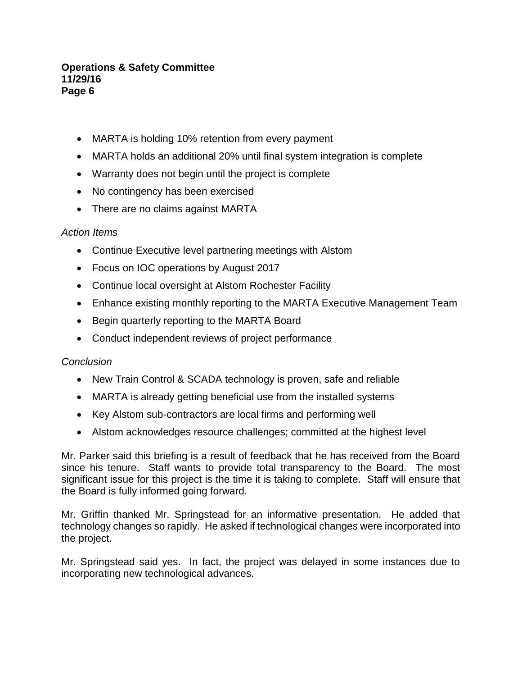- MARTA is holding 10% retention from every payment
- MARTA holds an additional 20% until final system integration is complete
- Warranty does not begin until the project is complete
- No contingency has been exercised
- There are no claims against MARTA

#### *Action Items*

- Continue Executive level partnering meetings with Alstom
- Focus on IOC operations by August 2017
- Continue local oversight at Alstom Rochester Facility
- Enhance existing monthly reporting to the MARTA Executive Management Team
- Begin quarterly reporting to the MARTA Board
- Conduct independent reviews of project performance

## *Conclusion*

- New Train Control & SCADA technology is proven, safe and reliable
- MARTA is already getting beneficial use from the installed systems
- Key Alstom sub-contractors are local firms and performing well
- Alstom acknowledges resource challenges; committed at the highest level

Mr. Parker said this briefing is a result of feedback that he has received from the Board since his tenure. Staff wants to provide total transparency to the Board. The most significant issue for this project is the time it is taking to complete. Staff will ensure that the Board is fully informed going forward.

Mr. Griffin thanked Mr. Springstead for an informative presentation. He added that technology changes so rapidly. He asked if technological changes were incorporated into the project.

Mr. Springstead said yes. In fact, the project was delayed in some instances due to incorporating new technological advances.